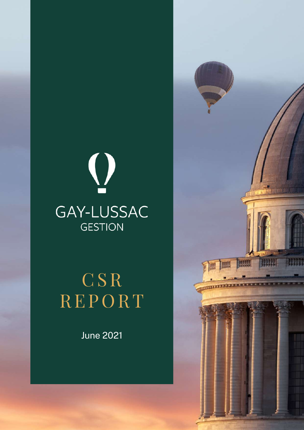# $\bigcirc$ GAY-LUSSAC **GESTION**

# CSR **REPORT**

June 2021

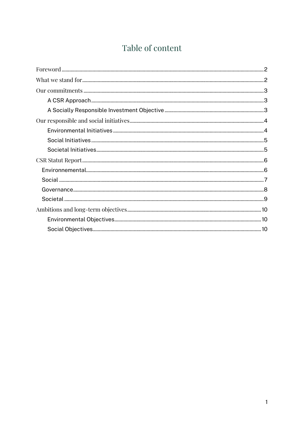# Table of content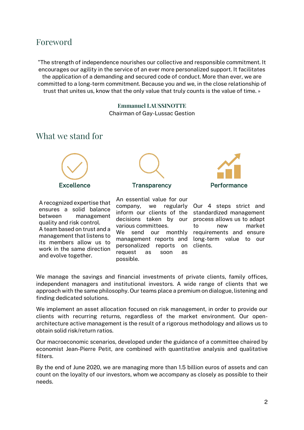## <span id="page-2-0"></span>Foreword

"The strength of independence nourishes our collective and responsible commitment. It encourages our agility in the service of an ever more personalized support. It facilitates the application of a demanding and secured code of conduct. More than ever, we are committed to a long-term commitment. Because you and we, in the close relationship of trust that unites us, know that the only value that truly counts is the value of time. »

> **Emmanuel LAUSSINOTTE** Chairman of Gay-Lussac Gestion

## <span id="page-2-1"></span>What we stand for



A recognized expertise that ensures a solid balance between management quality and risk control. A team based on trust and a management that listens to its members allow us to work in the same direction and evolve together.

An essential value for our company, we regularly inform our clients of the decisions taken by our various committees. We send our monthly management reports and personalized reports on request as soon as possible.

Our 4 steps strict and standardized management process allows us to adapt to new market requirements and ensure long-term value to our clients.

We manage the savings and financial investments of private clients, family offices, independent managers and institutional investors. A wide range of clients that we approach with the same philosophy. Our teams place a premium on dialogue, listening and finding dedicated solutions.

We implement an asset allocation focused on risk management, in order to provide our clients with recurring returns, regardless of the market environment. Our openarchitecture active management is the result of a rigorous methodology and allows us to obtain solid risk/return ratios.

Our macroeconomic scenarios, developed under the guidance of a committee chaired by economist Jean-Pierre Petit, are combined with quantitative analysis and qualitative filters.

By the end of June 2020, we are managing more than 1.5 billion euros of assets and can count on the loyalty of our investors, whom we accompany as closely as possible to their needs.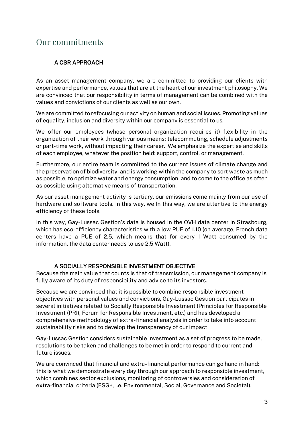# <span id="page-3-0"></span>Our commitments

#### A CSR APPROACH

<span id="page-3-1"></span>As an asset management company, we are committed to providing our clients with expertise and performance, values that are at the heart of our investment philosophy. We are convinced that our responsibility in terms of management can be combined with the values and convictions of our clients as well as our own.

We are committed to refocusing our activity on human and social issues. Promoting values of equality, inclusion and diversity within our company is essential to us.

We offer our employees (whose personal organization requires it) flexibility in the organization of their work through various means: telecommuting, schedule adjustments or part-time work, without impacting their career. We emphasize the expertise and skills of each employee, whatever the position held: support, control, or management.

Furthermore, our entire team is committed to the current issues of climate change and the preservation of biodiversity, and is working within the company to sort waste as much as possible, to optimize water and energy consumption, and to come to the office as often as possible using alternative means of transportation.

As our asset management activity is tertiary, our emissions come mainly from our use of hardware and software tools. In this way, we In this way, we are attentive to the energy efficiency of these tools.

In this way, Gay-Lussac Gestion's data is housed in the OVH data center in Strasbourg, which has eco-efficiency characteristics with a low PUE of 1.10 (on average, French data centers have a PUE of 2.5, which means that for every 1 Watt consumed by the information, the data center needs to use 2.5 Watt).

#### A SOCIALLY RESPONSIBLE INVESTMENT OBJECTIVE

<span id="page-3-2"></span>Because the main value that counts is that of transmission, our management company is fully aware of its duty of responsibility and advice to its investors.

Because we are convinced that it is possible to combine responsible investment objectives with personal values and convictions, Gay-Lussac Gestion participates in several initiatives related to Socially Responsible Investment (Principles for Responsible Investment (PRI), Forum for Responsible Investment, etc.) and has developed a comprehensive methodology of extra-financial analysis in order to take into account sustainability risks and to develop the transparency of our impact

Gay-Lussac Gestion considers sustainable investment as a set of progress to be made, resolutions to be taken and challenges to be met in order to respond to current and future issues.

We are convinced that financial and extra-financial performance can go hand in hand: this is what we demonstrate every day through our approach to responsible investment, which combines sector exclusions, monitoring of controversies and consideration of extra-financial criteria (ESG+, i.e. Environmental, Social, Governance and Societal).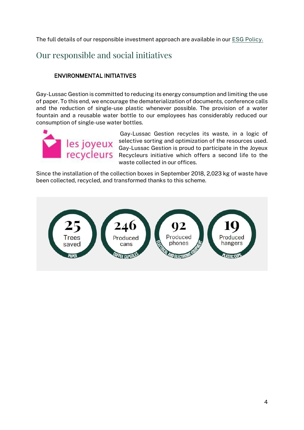The full details of our responsible investment approach are available in our [ESG Policy.](https://www.gaylussacgestion.com/en/our-csr-policy/)

# <span id="page-4-0"></span>Our responsible and social initiatives

#### ENVIRONMENTAL INITIATIVES

<span id="page-4-1"></span>Gay-Lussac Gestion is committed to reducing its energy consumption and limiting the use of paper. To this end, we encourage the dematerialization of documents, conference calls and the reduction of single-use plastic whenever possible. The provision of a water fountain and a reusable water bottle to our employees has considerably reduced our consumption of single-use water bottles.



Gay-Lussac Gestion recycles its waste, in a logic of selective sorting and optimization of the resources used. Gay-Lussac Gestion is proud to participate in the Joyeux Recycleurs initiative which offers a second life to the waste collected in our offices.

Since the installation of the collection boxes in September 2018, 2,023 kg of waste have been collected, recycled, and transformed thanks to this scheme.

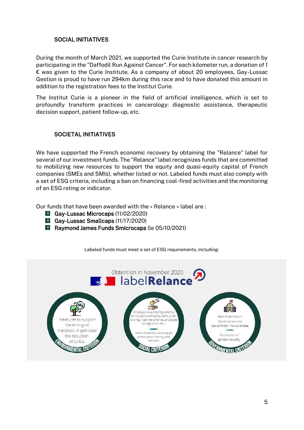#### SOCIAL INITIATIVES

<span id="page-5-0"></span>During the month of March 2021, we supported the Curie Institute in cancer research by participating in the "Daffodil Run Against Cancer". For each kilometer run, a donation of 1 € was given to the Curie Institute. As a company of about 20 employees, Gay-Lussac Gestion is proud to have run 294km during this race and to have donated this amount in addition to the registration fees to the Institut Curie.

The Institut Curie is a pioneer in the field of artificial intelligence, which is set to profoundly transform practices in cancerology: diagnostic assistance, therapeutic decision support, patient follow-up, etc.

#### SOCIETAL INITIATIVES

<span id="page-5-1"></span>We have supported the French economic recovery by obtaining the "Relance" label for several of our investment funds. The "Relance" label recognizes funds that are committed to mobilizing new resources to support the equity and quasi-equity capital of French companies (SMEs and SMIs), whether listed or not. Labeled funds must also comply with a set of ESG criteria, including a ban on financing coal-fired activities and the monitoring of an ESG rating or indicator.

Our funds that have been awarded with the « Relance » label are :

- **Gay-Lussac Microcaps (11/02/2020)**
- Gay-Lussac Smallcaps (11/17/2020)
- Raymond James Funds Smicrocaps (le 05/10/2021)

Labeled funds must meet a set of ESG requirements, including:

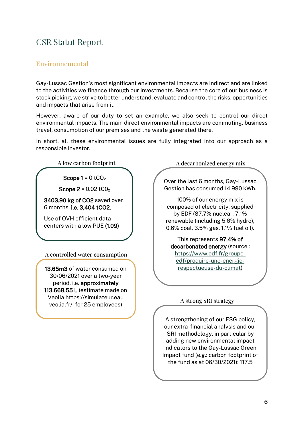# <span id="page-6-0"></span>CSR Statut Report

### <span id="page-6-1"></span>Environnemental

Gay-Lussac Gestion's most significant environmental impacts are indirect and are linked to the activities we finance through our investments. Because the core of our business is stock picking, we strive to better understand, evaluate and control the risks, opportunities and impacts that arise from it.

However, aware of our duty to set an example, we also seek to control our direct environmental impacts. The main direct environmental impacts are commuting, business travel, consumption of our premises and the waste generated there.

In short, all these environmental issues are fully integrated into our approach as a responsible investor.

Scope  $1 = 0$  tCO<sub>2</sub>

**Scope 2 =**  $0.02$  **tCO<sub>2</sub>** 

3403.90 kg of CO2 saved over 6 months, i.e. 3,404 tCO2.

Use of OVH efficient data centers with a low PUE (1.09)

A controlled water consumption

13.65m3 of water consumed on 30/06/2021 over a two-year period, i.e. approximately 113,668.55 L (estimate made on Veolia https://simulateur.eau veolia.fr/, for 25 employees)

A low carbon footprint A decarbonized energy mix

Over the last 6 months, Gay-Lussac Gestion has consumed 14 990 kWh.

100% of our energy mix is composed of electricity, supplied by EDF (87.7% nuclear, 7.1% renewable (including 5.6% hydro), 0.6% coal, 3.5% gas, 1.1% fuel oil).

This represents 97.4% of decarbonated energy (source : [https://www.edf.fr/groupe](https://www.edf.fr/groupe-edf/produire-une-energie-respectueuse-du-climat)[edf/produire-une-energie](https://www.edf.fr/groupe-edf/produire-une-energie-respectueuse-du-climat)[respectueuse-du-climat\)](https://www.edf.fr/groupe-edf/produire-une-energie-respectueuse-du-climat)

#### A strong SRI strategy

A strengthening of our ESG policy, our extra-financial analysis and our SRI methodology, in particular by adding new environmental impact indicators to the Gay-Lussac Green Impact fund (e.g.: carbon footprint of the fund as at 06/30/2021): 117.5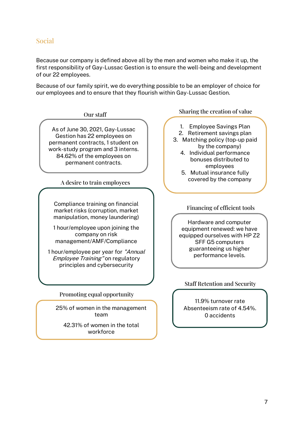#### <span id="page-7-0"></span>Social

Because our company is defined above all by the men and women who make it up, the first responsibility of Gay-Lussac Gestion is to ensure the well-being and development of our 22 employees.

Because of our family spirit, we do everything possible to be an employer of choice for our employees and to ensure that they flourish within Gay-Lussac Gestion.

#### Our staff

As of June 30, 2021, Gay-Lussac Gestion has 22 employees on permanent contracts, 1 student on work-study program and 3 interns. 84.62% of the employees on permanent contracts.

A desire to train employees

Compliance training on financial market risks (corruption, market manipulation, money laundering)

1 hour/employee upon joining the company on risk management/AMF/Compliance

1 hour/employee per year for "Annual" Employee Training" on regulatory principles and cybersecurity

#### Promoting equal opportunity

25% of women in the management team

42.31% of women in the total workforce

Sharing the creation of value

- 1. Employee Savings Plan
- 2. Retirement savings plan
- 3. Matching policy (top-up paid by the company)
	- 4. Individual performance bonuses distributed to employees
	- 5. Mutual insurance fully covered by the company

#### Financing of efficient tools

Hardware and computer equipment renewed: we have equipped ourselves with HP Z2 SFF G5 computers guaranteeing us higher performance levels.

#### Staff Retention and Security

11.9% turnover rate Absenteeism rate of 4.54%. 0 accidents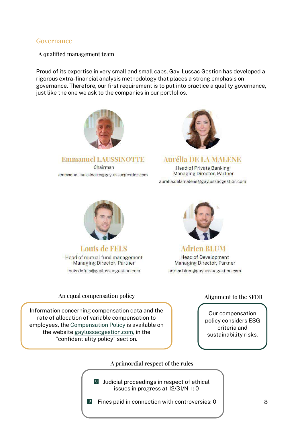#### <span id="page-8-0"></span>Governance

A qualified management team

Proud of its expertise in very small and small caps, Gay-Lussac Gestion has developed a rigorous extra-financial analysis methodology that places a strong emphasis on governance. Therefore, our first requirement is to put into practice a quality governance, just like the one we ask to the companies in our portfolios.



**Emmanuel LAUSSINOTTE** 

Chairman emmanuel.laussinotte@gaylussacgestion.com



#### **Aurélia DE LA MALENE**

**Head of Private Banking** Managing Director, Partner aurelia.delamalene@gaylussacgestion.com



**Louis de FELS** Head of mutual fund management **Managing Director, Partner** louis.defels@gaylussacgestion.com

#### An equal compensation policy and alignment to the SFDR

 $\ddot{\theta}$ 

Information concerning compensation data and the rate of allocation of variable compensation to employees, the [Compensation Policy](https://www.gaylussacgestion.com/en/confidentiality-policy/) is available on the website [gaylussacgestion.com,](https://www.gaylussacgestion.com/en/) in the "confidentiality policy" section.



**Adrien BLUM Head of Development** Managing Director, Partner adrien.blum@gaylussacgestion.com

Our compensation policy considers ESG criteria and sustainability risks.

#### A primordial respect of the rules

**D** Judicial proceedings in respect of ethical issues in progress at 12/31/N-1: 0

Fines paid in connection with controversies: 0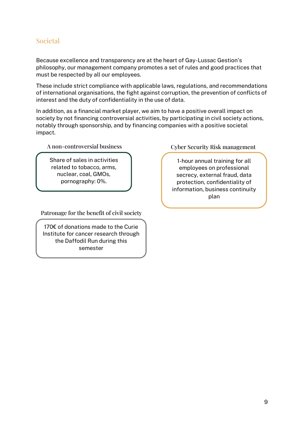### <span id="page-9-0"></span>Societal

Because excellence and transparency are at the heart of Gay-Lussac Gestion's philosophy, our management company promotes a set of rules and good practices that must be respected by all our employees.

These include strict compliance with applicable laws, regulations, and recommendations of international organisations, the fight against corruption, the prevention of conflicts of interest and the duty of confidentiality in the use of data.

In addition, as a financial market player, we aim to have a positive overall impact on society by not financing controversial activities, by participating in civil society actions, notably through sponsorship, and by financing companies with a positive societal impact.

A non-controversial business Cyber Security Risk management

Share of sales in activities related to tobacco, arms, nuclear, coal, GMOs, pornography: 0%.

Patronage for the benefit of civil society

170€ of donations made to the Curie Institute for cancer research through the Daffodil Run during this semester

1-hour annual training for all employees on professional secrecy, external fraud, data protection, confidentiality of information, business continuity plan